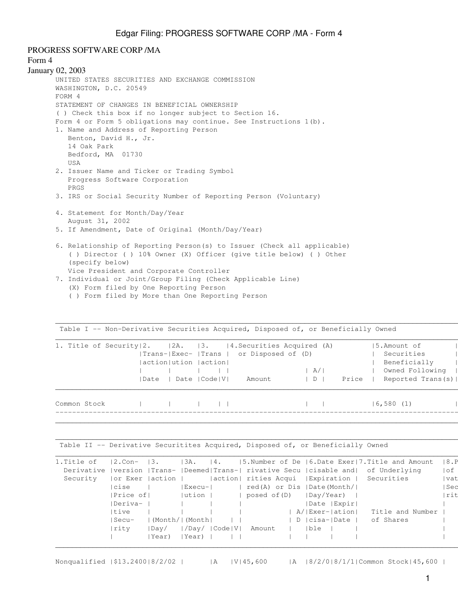PROGRESS SOFTWARE CORP /MA

```
Form 4
January 02, 2003
      UNITED STATES SECURITIES AND EXCHANGE COMMISSION
      WASHINGTON, D.C. 20549
      FORM 4
      STATEMENT OF CHANGES IN BENEFICIAL OWNERSHIP
      ( ) Check this box if no longer subject to Section 16.
      Form 4 or Form 5 obligations may continue. See Instructions 1(b).
      1. Name and Address of Reporting Person
          Benton, David H., Jr.
          14 Oak Park
          Bedford, MA 01730
          USA
      2. Issuer Name and Ticker or Trading Symbol
          Progress Software Corporation
          PRGS
      3. IRS or Social Security Number of Reporting Person (Voluntary)
      4. Statement for Month/Day/Year
          August 31, 2002
      5. If Amendment, Date of Original (Month/Day/Year)
      6. Relationship of Reporting Person(s) to Issuer (Check all applicable)
           ( ) Director ( ) 10% Owner (X) Officer (give title below) ( ) Other
           (specify below)
          Vice President and Corporate Controller
```
- 7. Individual or Joint/Group Filing (Check Applicable Line) (X) Form filed by One Reporting Person
	- ( ) Form filed by More than One Reporting Person

Table I -- Non-Derivative Securities Acquired, Disposed of, or Beneficially Owned  $\mathcal{L}_\mathcal{L} = \{ \mathcal{L}_\mathcal{L} = \{ \mathcal{L}_\mathcal{L} = \{ \mathcal{L}_\mathcal{L} = \{ \mathcal{L}_\mathcal{L} = \{ \mathcal{L}_\mathcal{L} = \{ \mathcal{L}_\mathcal{L} = \{ \mathcal{L}_\mathcal{L} = \{ \mathcal{L}_\mathcal{L} = \{ \mathcal{L}_\mathcal{L} = \{ \mathcal{L}_\mathcal{L} = \{ \mathcal{L}_\mathcal{L} = \{ \mathcal{L}_\mathcal{L} = \{ \mathcal{L}_\mathcal{L} = \{ \mathcal{L}_\mathcal{$ 1. Title of Security|2. |2A. |3. |4. Securities Acquired (A) |5.Amount of | |Trans-|Exec- |Trans | or Disposed of (D) | Securities | |action|ution |action| | Beneficially |(D)or | | | | | | | | A/| | Owned Following |Indir | | |Date | Date | Code | V | Amount | D | Price | Reported Trans(s) |  $\mathcal{L}_\mathcal{L} = \{ \mathcal{L}_\mathcal{L} = \{ \mathcal{L}_\mathcal{L} = \{ \mathcal{L}_\mathcal{L} = \{ \mathcal{L}_\mathcal{L} = \{ \mathcal{L}_\mathcal{L} = \{ \mathcal{L}_\mathcal{L} = \{ \mathcal{L}_\mathcal{L} = \{ \mathcal{L}_\mathcal{L} = \{ \mathcal{L}_\mathcal{L} = \{ \mathcal{L}_\mathcal{L} = \{ \mathcal{L}_\mathcal{L} = \{ \mathcal{L}_\mathcal{L} = \{ \mathcal{L}_\mathcal{L} = \{ \mathcal{L}_\mathcal{$ Common Stock | | | | | | | |6,580 (1) |D | | -----------------------------------------------------------------------------------------------------------------------------------|  $\mathcal{L}_\mathcal{L} = \{ \mathcal{L}_\mathcal{L} = \{ \mathcal{L}_\mathcal{L} = \{ \mathcal{L}_\mathcal{L} = \{ \mathcal{L}_\mathcal{L} = \{ \mathcal{L}_\mathcal{L} = \{ \mathcal{L}_\mathcal{L} = \{ \mathcal{L}_\mathcal{L} = \{ \mathcal{L}_\mathcal{L} = \{ \mathcal{L}_\mathcal{L} = \{ \mathcal{L}_\mathcal{L} = \{ \mathcal{L}_\mathcal{L} = \{ \mathcal{L}_\mathcal{L} = \{ \mathcal{L}_\mathcal{L} = \{ \mathcal{L}_\mathcal{$ 

 $\Box$ 

 $\mathcal{L}_\mathcal{L} = \{ \mathcal{L}_\mathcal{L} = \{ \mathcal{L}_\mathcal{L} = \{ \mathcal{L}_\mathcal{L} = \{ \mathcal{L}_\mathcal{L} = \{ \mathcal{L}_\mathcal{L} = \{ \mathcal{L}_\mathcal{L} = \{ \mathcal{L}_\mathcal{L} = \{ \mathcal{L}_\mathcal{L} = \{ \mathcal{L}_\mathcal{L} = \{ \mathcal{L}_\mathcal{L} = \{ \mathcal{L}_\mathcal{L} = \{ \mathcal{L}_\mathcal{L} = \{ \mathcal{L}_\mathcal{L} = \{ \mathcal{L}_\mathcal{$ 

Table II -- Derivative Securitites Acquired, Disposed of, or Beneficially Owned

| 1.Title of | $12.$ Con-      | 13.            | 13A.          | 14.           |                      |  |                            |  | $ 5.$ Number of De $ 6.$ Date Exer $ 7.$ Title and Amount                                    |  | 18.P  |
|------------|-----------------|----------------|---------------|---------------|----------------------|--|----------------------------|--|----------------------------------------------------------------------------------------------|--|-------|
|            |                 |                |               |               |                      |  |                            |  | Derivative   version   Trans-   Deemed  Trans-   rivative Secu   cisable and   of Underlying |  | of    |
| Security   | or Exer  action |                |               |               | action  rities Acqui |  |                            |  | Expiration   Securities                                                                      |  | vat   |
|            | cise            |                | Execu-        |               |                      |  | red(A) or Dis  Date(Month/ |  |                                                                                              |  | l Sec |
|            | Price of        |                | $ $ ution $ $ |               | posed of (D)         |  | Day/Year)                  |  |                                                                                              |  | rit   |
|            | Deriva-         |                |               |               |                      |  | Date   Expir               |  |                                                                                              |  |       |
|            | Itive           |                |               |               |                      |  | A/ Exer- ation             |  | Title and Number                                                                             |  |       |
|            | Secu-           | (Month/ (Month |               |               |                      |  | D   cisa-  Date            |  | of Shares                                                                                    |  |       |
|            | rity            | Day/           |               | /Day/  Code V | Amount               |  | Ible                       |  |                                                                                              |  |       |
|            |                 | Year)          | Year)         |               |                      |  |                            |  |                                                                                              |  |       |
|            |                 |                |               |               |                      |  |                            |  |                                                                                              |  |       |